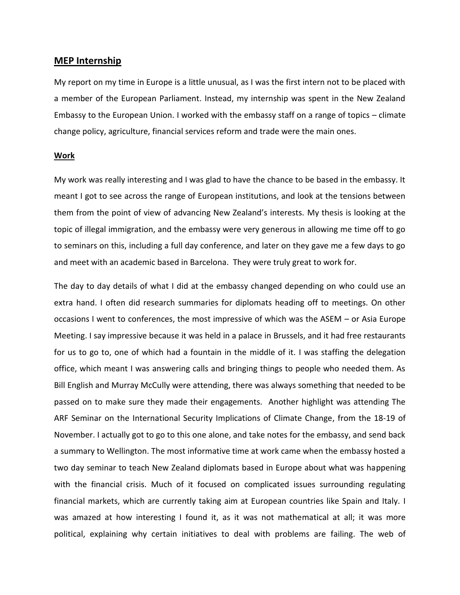## **MEP Internship**

My report on my time in Europe is a little unusual, as I was the first intern not to be placed with a member of the European Parliament. Instead, my internship was spent in the New Zealand Embassy to the European Union. I worked with the embassy staff on a range of topics – climate change policy, agriculture, financial services reform and trade were the main ones.

## **Work**

My work was really interesting and I was glad to have the chance to be based in the embassy. It meant I got to see across the range of European institutions, and look at the tensions between them from the point of view of advancing New Zealand's interests. My thesis is looking at the topic of illegal immigration, and the embassy were very generous in allowing me time off to go to seminars on this, including a full day conference, and later on they gave me a few days to go and meet with an academic based in Barcelona. They were truly great to work for.

The day to day details of what I did at the embassy changed depending on who could use an extra hand. I often did research summaries for diplomats heading off to meetings. On other occasions I went to conferences, the most impressive of which was the ASEM – or Asia Europe Meeting. I say impressive because it was held in a palace in Brussels, and it had free restaurants for us to go to, one of which had a fountain in the middle of it. I was staffing the delegation office, which meant I was answering calls and bringing things to people who needed them. As Bill English and Murray McCully were attending, there was always something that needed to be passed on to make sure they made their engagements. Another highlight was attending The ARF Seminar on the International Security Implications of Climate Change, from the 18-19 of November. I actually got to go to this one alone, and take notes for the embassy, and send back a summary to Wellington. The most informative time at work came when the embassy hosted a two day seminar to teach New Zealand diplomats based in Europe about what was happening with the financial crisis. Much of it focused on complicated issues surrounding regulating financial markets, which are currently taking aim at European countries like Spain and Italy. I was amazed at how interesting I found it, as it was not mathematical at all; it was more political, explaining why certain initiatives to deal with problems are failing. The web of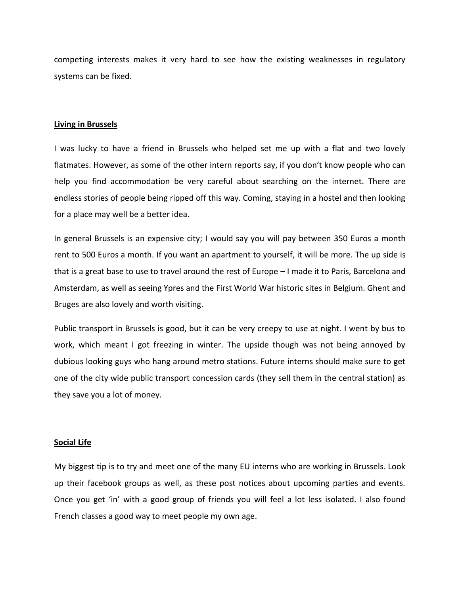competing interests makes it very hard to see how the existing weaknesses in regulatory systems can be fixed.

## **Living in Brussels**

I was lucky to have a friend in Brussels who helped set me up with a flat and two lovely flatmates. However, as some of the other intern reports say, if you don't know people who can help you find accommodation be very careful about searching on the internet. There are endless stories of people being ripped off this way. Coming, staying in a hostel and then looking for a place may well be a better idea.

In general Brussels is an expensive city; I would say you will pay between 350 Euros a month rent to 500 Euros a month. If you want an apartment to yourself, it will be more. The up side is that is a great base to use to travel around the rest of Europe – I made it to Paris, Barcelona and Amsterdam, as well as seeing Ypres and the First World War historic sites in Belgium. Ghent and Bruges are also lovely and worth visiting.

Public transport in Brussels is good, but it can be very creepy to use at night. I went by bus to work, which meant I got freezing in winter. The upside though was not being annoyed by dubious looking guys who hang around metro stations. Future interns should make sure to get one of the city wide public transport concession cards (they sell them in the central station) as they save you a lot of money.

## **Social Life**

My biggest tip is to try and meet one of the many EU interns who are working in Brussels. Look up their facebook groups as well, as these post notices about upcoming parties and events. Once you get 'in' with a good group of friends you will feel a lot less isolated. I also found French classes a good way to meet people my own age.